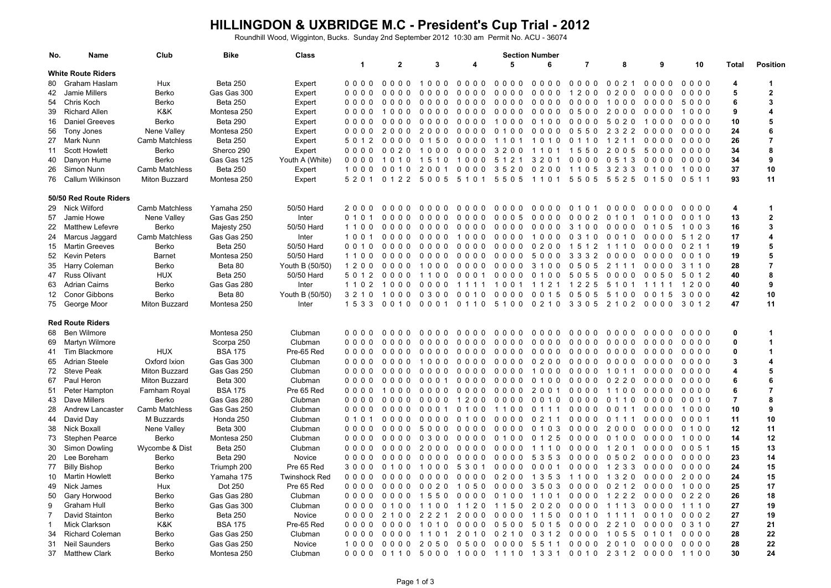## **HILLINGDON & UXBRIDGE M.C - President's Cup Trial - 2012**

Roundhill Wood, Wigginton, Bucks. Sunday 2nd September 2012 10:30 am Permit No. ACU - 36074

| No. | <b>Name</b>               | Club           | <b>Bike</b>                | <b>Class</b>         | <b>Section Number</b> |                                                |                                                  |                                                  |                                        |                                  |                          |                                             |                                  |                 |                |                         |
|-----|---------------------------|----------------|----------------------------|----------------------|-----------------------|------------------------------------------------|--------------------------------------------------|--------------------------------------------------|----------------------------------------|----------------------------------|--------------------------|---------------------------------------------|----------------------------------|-----------------|----------------|-------------------------|
|     |                           |                |                            |                      | $\mathbf 1$           | $\mathbf{2}$                                   | 3                                                | Δ                                                | 5                                      | 6                                | $\overline{7}$           | 8                                           | 9                                | 10              | Total          | <b>Position</b>         |
|     | <b>White Route Riders</b> |                |                            |                      |                       |                                                |                                                  |                                                  |                                        |                                  |                          |                                             |                                  |                 |                |                         |
| 80  | Graham Haslam             | Hux            | Beta 250                   | Expert               | 0000                  | 000<br>$\Omega$                                | 1000                                             | 000<br>$\Omega$                                  | 0000                                   | $0000$                           | $0000$                   | 0 0 2 1                                     | 0000                             | $0000$          | 4              | $\blacktriangleleft$    |
| 42  | Jamie Millers             | Berko          | Gas Gas 300                | Expert               | 0000                  | 0 <sub>0</sub><br>$\Omega$                     | 000<br>$\Omega$                                  | 0 <sub>0</sub><br>$\Omega$<br>0                  | 0000                                   | 0000                             | 1200                     | 0200                                        | 0 <sub>0</sub><br>0 <sub>0</sub> | 0000            | 5              | $\overline{2}$          |
| 54  | Chris Koch                | Berko          | Beta 250                   | Expert               | 0000                  | 0000                                           | 000<br>$\Omega$                                  | 0000                                             | 0000                                   | 0000                             | 0000                     | 1000                                        | 0000                             | 5000            | 6              | 3                       |
| 39  | <b>Richard Allen</b>      | K&K            | Montesa 250                | Expert               | 0000                  | 100<br>$\Omega$                                | $\mathbf{0}$<br>0 <sub>0</sub><br>$\Omega$       | $0\quad 0\quad 0\quad 0$                         | $0000$                                 | 0000                             | 0500                     | 2000                                        | 0000                             | 1000            | 9              | $\overline{4}$          |
| 16  | <b>Daniel Greeves</b>     | Berko          | Beta 290                   | Expert               | 0000                  | 0<br>000                                       | 0000                                             | 0000                                             | 1000                                   | 0100                             | 0000                     | 5020                                        | 1000                             | $0000$          | 10             | 5                       |
| 56  | Tony Jones                | Nene Valley    | Montesa 250                | Expert               | 0000                  | 2<br>$\overline{0}$<br>$\Omega$<br>$\Omega$    | $\overline{2}$<br>0<br>$\Omega$<br>$\Omega$      | 0<br>$\mathbf{0}$<br>0<br>$\Omega$               | 0 <sub>1</sub><br>0<br>$\Omega$        | 000<br>0                         | 0 <sub>5</sub><br>50     | $\overline{2}$<br>322                       | 0 <sub>0</sub><br>0 <sub>0</sub> | 0000            | 24             | 6                       |
| 27  | Mark Nunn                 | Camb Matchless | Beta 250                   | Expert               | 5 0 1 2               | 000<br>$\mathbf{0}$                            | 0 1 5 0                                          | 0000                                             | 110                                    | 1010                             | 0<br>1 1 0               | 1 2 1 1                                     | 0000                             | 0000            | 26             | $\overline{7}$          |
| 11  | <b>Scott Howlett</b>      | Berko          | Sherco 290                 | Expert               | 0000                  | 0 0 2<br>$\Omega$                              | 100<br>$\Omega$                                  | 0000                                             | 3 2 0<br>0                             | 110<br>-1                        | 1550                     | 2005                                        | 5000                             | $0000$          | 34             | 8                       |
| 40  | Danyon Hume               | Berko          | Gas Gas 125                | Youth A (White)      | 0000                  | 1010                                           | 1 5 1 0                                          | 1000                                             | 5 1 2<br>$\overline{1}$                | 3 2 0<br>-1                      | $0000$                   | 0 5 1 3                                     | 0000                             | $0000$          | 34             | 9                       |
| 26  | Simon Nunn                | Camb Matchless | Beta 250                   | Expert               | 100<br>0              | 0010                                           | 2001                                             | 0000                                             | 3520                                   | 0200                             | 1 1 0 5                  | 3 2 3 3                                     | 0100                             | 1000            | 37             | 10                      |
| 76  | Callum Wilkinson          | Miton Buzzard  | Montesa 250                | Expert               | 5 2 0 1               | 0 1 2 2                                        | 5005                                             | 5 1 0 1                                          | 5505                                   | 1101                             | 5505                     | 5525                                        | 0 1 5 0                          | 0 5 1 1         | 93             | 11                      |
|     | 50/50 Red Route Riders    |                |                            |                      |                       |                                                |                                                  |                                                  |                                        |                                  |                          |                                             |                                  |                 |                |                         |
| 29  | Nick Wilford              | Camb Matchless | Yamaha 250                 | 50/50 Hard           | 2000                  | 0000                                           | 0000                                             | 0000                                             | 0000                                   | 0000                             | $\mathbf 0$<br>1 0 1     | 0000                                        | 0000                             | $0000$          | 4              | -1                      |
|     | 57 Jamie Howe             | Nene Valley    | Gas Gas 250                | Inter                | 010<br>1              | $\mathbf{0}$<br>$\Omega$<br>0 <sub>0</sub>     | 000<br>$\Omega$                                  | $0000$                                           | 0005                                   | $0000$                           | 0002                     | $\mathbf 0$<br>101                          | 0 1 0 0                          | 0 0 1 0         | 13             | $\overline{\mathbf{2}}$ |
| 22  | <b>Matthew Lefevre</b>    | Berko          | Majesty 250                | 50/50 Hard           | 1100                  | $\Omega$<br>$\mathbf{0}$<br>0 <sub>0</sub>     | 000<br>$\Omega$                                  | 0 <sub>0</sub><br>0 <sub>0</sub>                 | 0000                                   | 000<br>0                         | 3<br>1 <sub>0</sub><br>0 | 0000                                        | 0<br>05                          | 1003            | 16             | 3                       |
| 24  | Marcus Jaggard            | Camb Matchless | Gas Gas 250                | Inter                | 1001                  | 0000                                           | 0000                                             | 1000                                             | 0000                                   | 1000                             | 0 3 1 0                  | 0 0 1 0                                     | 0000                             | 5 1 2 0         | 17             | $\overline{4}$          |
| 15  | Martin Greeves            | Berko          | <b>Beta 250</b>            | 50/50 Hard           | 0 0 1 0               | 000<br>0                                       | 0 <sub>0</sub><br>0<br>$\Omega$                  | $0000$                                           | 0000                                   | 020<br>0                         | 1512                     | 1110                                        | 0000                             | 0 2 1 1         | 19             | 5                       |
| 52  | <b>Kevin Peters</b>       | <b>Barnet</b>  | Montesa 250                | 50/50 Hard           | 1100                  | 0000                                           | 0000                                             | $0000$                                           | 0000                                   | 5000                             | 3 3 3 2                  | 0000                                        | 0000                             | 0 0 1 0         | 19             | 5                       |
| 35  | Harry Coleman             | Berko          | Beta 80                    | Youth B (50/50)      | 1200                  | 0000                                           | 1000                                             | $0000$                                           | $0000$                                 | 3 1 0 0                          | 0505                     | 2 1 1 1                                     | 0000                             | 3 1 1 0         | 28             | $\overline{7}$          |
| 47  | <b>Russ Olivant</b>       | <b>HUX</b>     | Beta 250                   | 50/50 Hard           | 5 0 1 2               | 0<br>0 <sub>0</sub><br>$\mathbf{0}$            | 110<br>$\Omega$                                  | 0 <sub>0</sub><br>0<br>-1                        | 0000                                   | 0100                             | 5055                     | 0<br>000                                    | 0050                             | 5 0 1 2         | 40             | 8                       |
| 63  | <b>Adrian Cairns</b>      | Berko          | Gas Gas 280                | Inter                | 1 1 0 2               | 1000                                           | 0000                                             | 1111                                             | 1001                                   | 1 1 2 1                          | 1 2 2 5                  | 5 1 0 1                                     | 1111                             | 1200            | 40             | 9                       |
| 12  | <b>Conor Gibbons</b>      | Berko          | Beta 80                    | Youth B (50/50)      | 3 2 1 0               | 100<br>0                                       | 0 3<br>0 <sub>0</sub>                            | 0<br>0<br>0<br>-1                                | 000<br>0                               | 0 0 1 5                          | 0505                     | 5100                                        | 0 <sub>0</sub><br>15             | 3000            | 42             | 10                      |
| 75  | George Moor               | Miton Buzzard  | Montesa 250                | Inter                | 1 5 3 3               | 0010                                           | 0001                                             | 0 1 1 0                                          | 5100                                   | 0 2 1 0                          | 3 3 0 5                  | 2 1 0 2                                     | 0000                             | 3 0 1 2         | 47             | 11                      |
|     | <b>Red Route Riders</b>   |                |                            |                      |                       |                                                |                                                  |                                                  |                                        |                                  |                          |                                             |                                  |                 |                |                         |
| 68  | Ben Wilmore               |                | Montesa 250                | Clubman              | 0000                  | 0000                                           | 0000                                             | 0000                                             | 0000                                   | $0000$                           | 0000                     | 0000                                        | 0000                             | $0000$          | 0              |                         |
| 69  | <b>Martyn Wilmore</b>     |                | Scorpa 250                 | Clubman              | 0000                  | $\Omega$<br>$\Omega$<br>$\Omega$<br>$\Omega$   | $\mathbf{0}$<br>$\Omega$<br>$\Omega$<br>$\Omega$ | $\Omega$<br>$\Omega$<br>$\Omega$<br><sup>n</sup> | 0 <sub>0</sub><br>$\Omega$<br>0        | 000<br>$\overline{0}$            | 000<br>$\Omega$          | 0000                                        | 0 <sub>0</sub><br>0 <sub>0</sub> | 0000            | 0              | $\overline{\mathbf{1}}$ |
| 41  | Tim Blackmore             | <b>HUX</b>     | <b>BSA 175</b>             | Pre-65 Red           | 0000                  | $\mathbf{0}$<br>0 <sub>0</sub><br>$\mathbf{0}$ | $\Omega$<br>0<br>$\Omega$<br>$\Omega$            | 0<br>$\Omega$<br>0<br>റ                          | 0000                                   | 0000                             | $0000$                   | 0000                                        | 0000                             | 0000            | 0              | $\blacktriangleleft$    |
| 65  | <b>Adrian Steele</b>      | Oxford Ixion   | Gas Gas 300                | Clubman              | 0000                  | 000<br>$\Omega$                                | 100<br>$\Omega$                                  | 0000                                             | $0000$                                 | 0200                             | $0000$                   | 0000                                        | 0000                             | 0000            | 3              | 4                       |
| 72  | <b>Steve Peak</b>         | Miton Buzzard  | Gas Gas 250                | Clubman              | 0000                  | $0\quad 0\quad 0\quad 0$                       | $0000$                                           | 0000                                             | 0000                                   | 1000                             | 0000                     | 1011                                        | 0000                             | $0000$          | 4              | 5                       |
| 67  | Paul Heron                | Miton Buzzard  | Beta 300                   | Clubman              | 0000                  | 000<br>$\Omega$                                | 000<br>$\mathbf{1}$                              | 0000                                             | 0000                                   | 0100                             | 0000                     | 0220                                        | 0000                             | $0000$          | 6              | 6                       |
|     |                           |                | <b>BSA 175</b>             | Pre 65 Red           | 0000                  | $\Omega$<br>$\Omega$<br>$\Omega$               | 0 <sub>0</sub><br>$\Omega$<br>$\Omega$           | $\Omega$<br>$\mathbf{0}$                         | 0 <sub>0</sub><br>$\Omega$             | 200<br>-1                        | 000<br>$\Omega$          | 0 <sub>0</sub>                              | 0 <sub>0</sub><br>0 <sub>0</sub> | 0000            | 6              | $\overline{7}$          |
| 51  | Peter Hampton             | Farnham Royal  |                            |                      |                       |                                                |                                                  | 0<br>0                                           | 0                                      |                                  |                          | 11                                          |                                  |                 | $\overline{7}$ | 8                       |
| 43  | Dave Millers              | Berko          | Gas Gas 280<br>Gas Gas 250 | Clubman              | 0000<br>0000          | 0000<br>0<br>0 <sub>0</sub><br>$\Omega$        | 0000<br>$\mathbf{0}$<br>$\mathbf{0}$<br>$\Omega$ | 1200<br>0 <sub>1</sub><br>$\Omega$<br>0          | 0000                                   | 0 0 1 0<br>011<br>$\overline{1}$ | 0000<br>000<br>0         | 0 1 1 0<br>$\Omega$<br>$1 \; 1$<br>$\Omega$ | 0000<br>0000                     | 0 0 1 0<br>1000 | 10             | 9                       |
| 28  | <b>Andrew Lancaster</b>   | Camb Matchless |                            | Clubman              |                       | $0000$                                         |                                                  |                                                  | 1100                                   |                                  |                          |                                             |                                  |                 | 11             | 10                      |
| 44  | David Day                 | M Buzzards     | Honda 250                  | Clubman              | 010                   |                                                | 0000                                             | 0 <sub>1</sub><br>0 <sub>0</sub>                 | 0000                                   | 0211                             | 0000                     | 0<br>1 1 1                                  | 0000                             | 0 0 0 1         |                |                         |
| 38  | Nick Boxall               | Nene Valley    | Beta 300                   | Clubman              | 0000                  | 0000                                           | 5000                                             | 0000                                             | 0000                                   | 3<br>010                         | $0000$                   | 2000                                        | $0000$                           | 0100            | 12             | 11<br>12                |
| 73  | <b>Stephen Pearce</b>     | Berko          | Montesa 250                | Clubman              | 0000                  | $\Omega$<br>$\Omega$<br>0 <sub>0</sub>         | 0 <sub>3</sub><br>0<br>$\Omega$                  | 0000                                             | 0 <sub>1</sub><br>0<br>0               | 0 1 2 5                          | $0000$                   | 0 <sub>1</sub><br>0 <sub>0</sub>            | 0 <sub>0</sub><br>0 <sub>0</sub> | 1000            | 14             |                         |
| 30  | Simon Dowling             | Wycombe & Dist | Beta 250                   | Clubman              | 0000                  | 0<br>000                                       | 2000                                             | 0000                                             | 0000                                   | 1110                             | 0000                     | 1 2 0 1                                     | 0000                             | 0 0 5 1         | 15             | 13                      |
| 20  | Lee Boreham               | Berko          | Beta 290                   | Novice               | 0000                  | 0 <sub>0</sub><br>$\Omega$<br>0                | 0 <sub>0</sub><br>0 <sub>0</sub>                 | 0 <sub>0</sub><br>$\Omega$<br>0                  | 0000                                   | 5 3 5 3                          | $0000$                   | 0<br>502                                    | 0000                             | $0000$          | 23             | 14                      |
| 77  | <b>Billy Bishop</b>       | Berko          | Triumph 200                | Pre 65 Red           | 3000                  | 0<br>100                                       | 1000                                             | 530<br>-1                                        | $0000$                                 | 000<br>$\overline{1}$            | $0000$                   | 1 2 3 3                                     | 0000                             | $0000$          | 24             | 15                      |
| 10  | <b>Martin Howlett</b>     | Berko          | Yamaha 175                 | <b>Twinshock Red</b> | 0000                  | 0000                                           | 0000                                             | 0000                                             | 0200                                   | 1 3 5 3                          | 1100                     | 1 3 2 0                                     | 0000                             | 2000            | 24             | 15                      |
| 49  | Nick James                | Hux            | Dot 250                    | Pre 65 Red           | 0000                  | $\Omega$<br>$\Omega$<br>0 <sub>0</sub>         | 0 0 2<br>$\Omega$                                | $\mathbf{0}$<br>$\mathbf{1}$<br>$\Omega$<br>5    | 0 <sub>0</sub><br>$\Omega$<br>$\Omega$ | 350<br>-3                        | $0000$                   | 0 2 1 2                                     | 0000                             | 1000            | 25             | 17                      |
| 50  | Gary Horwood              | Berko          | Gas Gas 280                | Clubman              | 0000                  | 0000                                           | 1550                                             | 0000                                             | 0100                                   | 1101                             | 0000                     | 1 2 2 2                                     | 0000                             | 0 2 2 0         | 26             | 18                      |
| 9   | Graham Hull               | Berko          | Gas Gas 300                | Clubman              | 0000                  | 0<br>10<br>$\mathbf{0}$                        | 1 1<br>0<br>$\Omega$                             | 1 1<br>$\overline{2}$<br>0                       | 5<br>0<br>11                           | 2020                             | 000<br>0                 | 1 1 1 3                                     | 0000                             | 1110            | 27             | 19                      |
| 7   | David Stainton            | Berko          | <b>Beta 250</b>            | Novice               | 0000                  | 2 1 0<br>$\Omega$                              | $\overline{2}$<br>2<br>$\overline{2}$            | 20<br>0 <sub>0</sub>                             | 0 <sub>0</sub><br>0 <sub>0</sub>       | 1 1 5<br>0                       | 0 0 1 0                  | 1 1<br>11                                   | 0010                             | 00002           | 27             | 19                      |
|     | <b>Mick Clarkson</b>      | K&K            | <b>BSA 175</b>             | Pre-65 Red           | 0000                  | 000<br>0                                       | 10<br>10                                         | 0000                                             | 0500                                   | 5 0 1<br>-5                      | 0000                     | $\overline{2}$<br>2 1 0                     | 0000                             | 0 3 1 0         | 27             | 21                      |
| 34  | <b>Richard Coleman</b>    | Berko          | Gas Gas 250                | Clubman              | 0000                  | 0000                                           | 110<br>$\mathbf{1}$                              | 20<br>1 <sub>0</sub>                             | 0 2 1 0                                | 0 3 1 2                          | $0000$                   | 1055                                        | 0 1 0 1                          | 0000            | 28             | 22                      |
| 31  | Neil Saunders             | Berko          | Gas Gas 250                | Novice               | 1000                  |                                                | 0000 2050                                        | 0500                                             | 0000                                   | 5511                             | 0000                     | 2 0 1 0                                     | 0000                             | 0000            | 28             | 22                      |
|     | 37 Matthew Clark          | Berko          | Montesa 250                | Clubman              | 0000                  | 0 1 1 0                                        | 5000                                             | 1000                                             | 1110 1331                              |                                  | 0010                     | 2 3 1 2                                     | 0000                             | 1100            | 30             | 24                      |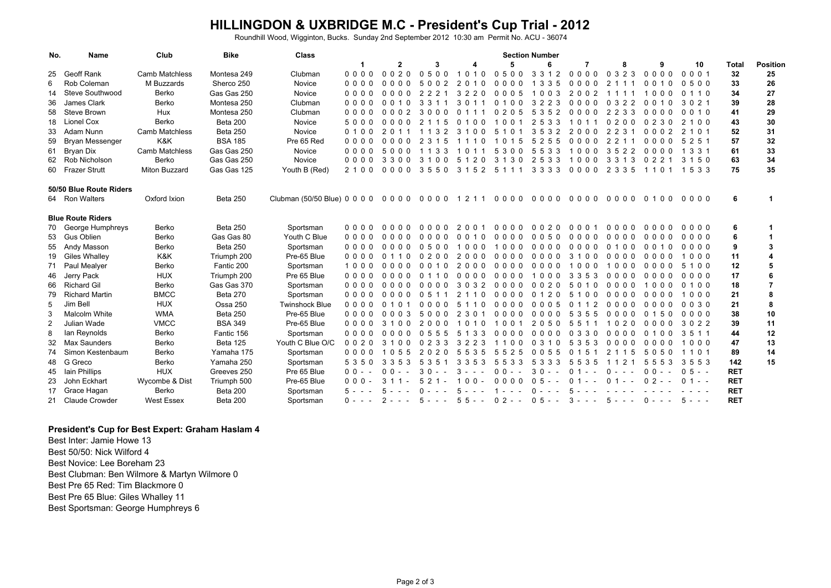## **HILLINGDON & UXBRIDGE M.C - President's Cup Trial - 2012**

Roundhill Wood, Wigginton, Bucks. Sunday 2nd September 2012 10:30 am Permit No. ACU - 36074

| No.            | <b>Name</b>              | Club              | <b>Bike</b>     | <b>Class</b>          | <b>Section Number</b>    |                                        |                              |                             |                             |                                        |                                        |                                       |                                  |                   |              |                 |
|----------------|--------------------------|-------------------|-----------------|-----------------------|--------------------------|----------------------------------------|------------------------------|-----------------------------|-----------------------------|----------------------------------------|----------------------------------------|---------------------------------------|----------------------------------|-------------------|--------------|-----------------|
|                |                          |                   |                 |                       |                          | $\mathbf{2}$                           | 3                            | Δ                           | 5                           | ĥ                                      | 7                                      | 8                                     | 9                                | 10                | <b>Total</b> | <b>Position</b> |
| 25             | Geoff Rank               | Camb Matchless    | Montesa 249     | Clubman               | $0\quad 0\quad 0\quad 0$ | 0020                                   | 0500                         | 1010                        | 0500                        | 3 3 1 2                                | $0000$                                 | 0323                                  | $0000$                           | 0001              | 32           | 25              |
| 6              | Rob Coleman              | M Buzzards        | Sherco 250      | Novice                | 0000                     | $\Omega$<br>0 <sub>0</sub><br>$\Omega$ | $\Omega$                     | 2<br>$\Omega$<br>∩<br>-1    | 0 O<br>$\Omega$<br>$\Omega$ | 335                                    | 0 <sub>0</sub><br>$\Omega$<br>$\Omega$ | $\mathcal{P}$<br>-1                   | 0<br>$\Omega$<br>$\Omega$        | 0500              | 33           | 26              |
| 14             | <b>Steve Southwood</b>   | Berko             | Gas Gas 250     | Novice                | 0000                     | $\Omega$<br>0,0,0                      | $\mathcal{P}$                | 3<br>220                    | 0.0.0.5                     | 0 <sub>0<sub>3</sub></sub>             | 2002                                   | -1<br>-1                              | 000                              | 1 1 0<br>$\Omega$ | 34           | 27              |
| 36             | James Clark              | Berko             | Montesa 250     | Clubman               | 0000                     | $\Omega$<br>$\Omega$<br>$\Omega$       | 3                            | 3<br>$\Omega$               | $\Omega$<br>$\Omega$<br>-1  | 3<br>2<br>3<br>$\mathcal{P}$           | $0000$                                 | 322<br>$\Omega$                       | 0<br>$\Omega$<br>$\Omega$        | 3 0 2 1           | 39           | 28              |
| 58             | Steve Brown              | Hux               | Montesa 250     | Clubman               | 0000                     | 0 <sub>2</sub><br>$\Omega$<br>$\Omega$ | 3<br>$\Omega$                | $\Omega$                    | 020                         | $3\overline{5}$<br>$\overline{2}$<br>5 | 0000                                   | 2<br>2 3 3                            | 0<br>0 <sub>0</sub><br>$\Omega$  | 0010              | 41           | 29              |
| 18             | Lionel Cox               | Berko             | Beta 200        | Novice                | 5000                     | $\Omega$<br>$\Omega$<br>$\Omega$       | 5                            | $\Omega$<br>$\Omega$        | $\Omega$<br>$\Omega$        | 2<br>3<br>53                           | $\Omega$                               | 0200                                  | $\Omega$<br>2 3 0                | 2 1 0 0           | 43           | 30              |
| 33             | Adam Nunn                | Camb Matchless    | Beta 250        | Novice                | 0 1 0 0                  |                                        |                              | 3                           |                             | 3<br>5<br>2<br>3                       | $\mathcal{P}$<br>0 O<br>$\Omega$       | 2<br>2 3                              | $\Omega$<br>2<br>$\Omega$<br>0   | 2 1 0 1           | 52           | 31              |
| 59             | <b>Bryan Messenger</b>   | K&K               | <b>BSA 185</b>  | Pre 65 Red            | $0\quad 0\quad 0\quad 0$ | 0 Q<br>$\Omega$<br>$\Omega$            | 3                            | 0                           | $\Omega$                    | 5<br>25<br>5                           | $\Omega$<br>000                        | 2<br>2 <sub>1</sub>                   | 0 <sub>0</sub><br>0 <sub>0</sub> | 5 2 5 1           | 57           | 32              |
| 61             | Bryan Dix                | Camb Matchless    | Gas Gas 250     | Novice                | 0000                     | 5<br>000                               | 3                            |                             | 53<br>$\Omega$              | 5<br>3<br>5<br>3                       | 1000                                   | 3<br>522                              | $0000$                           | 1 3 3 1           | 61           | 33              |
|                | 62 Rob Nicholson         | Berko             | Gas Gas 250     | Novice                | 0000                     | 3<br>300                               | 3<br>00                      | 51<br>2<br>$\Omega$         | 3 <sub>1</sub><br>3<br>0    | 25<br>3<br>3                           | 10<br>$\Omega$<br>0                    | 3<br>3 1<br>-3                        | 0<br>2 1                         | 3 1 5 0           | 63           | 34              |
|                | 60 Frazer Strutt         | Miton Buzzard     | Gas Gas 125     | Youth B (Red)         | 2 1 0 0                  | 0000                                   | 3550                         | 3 1 5 2                     | 5 1 1 1                     | 3 3 3 3                                | $0000$                                 | 2 3 3 5                               | 1101                             | 1 5 3 3           | 75           | 35              |
|                | 50/50 Blue Route Riders  |                   |                 |                       |                          |                                        |                              |                             |                             |                                        |                                        |                                       |                                  |                   |              |                 |
|                | 64 Ron Walters           | Oxford Ixion      | Beta 250        |                       |                          |                                        |                              |                             |                             |                                        |                                        | 0000                                  | 0100                             | 0000              | 6            |                 |
|                | <b>Blue Route Riders</b> |                   |                 |                       |                          |                                        |                              |                             |                             |                                        |                                        |                                       |                                  |                   |              |                 |
| 70             | George Humphreys         | Berko             | <b>Beta 250</b> | Sportsman             | 0000                     | 0000                                   | 0 <sub>0</sub><br>0 O        | 200                         | 0000                        | 0020                                   | 0001                                   | $0000$                                | 0000                             | 0000              | 6            |                 |
| 53             | Gus Oblien               | Berko             | Gas Gas 80      | Youth C Blue          | 0000                     | 000<br>$\Omega$                        | 0 O<br>0 O                   | $\Omega$<br>010             | 0000                        | 0050                                   | $0000$                                 | $0000$                                | 0000                             | 0000              | 6            |                 |
| 55             | Andy Masson              | Berko             | Beta 250        | Sportsman             | $0\quad 0\quad 0\quad 0$ | 000<br>$\Omega$                        | 0500                         | 000                         | 1000                        | $0\quad 0\quad 0\quad 0$               | $0000$                                 | 0, 1, 0, 0                            | 1 0<br>0 O                       | $0000$            | 9            | 3               |
| 19             | <b>Giles Whalley</b>     | K&K               | Triumph 200     | Pre-65 Blue           | 0000                     | 10                                     | 0200                         | 2000                        | $0000$                      | $0\quad 0\quad 0\quad 0$               | 3 1 0 0                                | 0000                                  | 0000                             | 1000              | 11           |                 |
|                | 71 Paul Mealyer          | Berko             | Fantic 200      | Sportsman             | 1000                     | $\Omega$<br>000                        | 0 <sub>0</sub><br>$\cdot$ 0  | 2000                        | 0000                        | $0000$                                 | 1000                                   | 000<br>-1                             | 0000                             | 5 1 0 0           | 12           | 5               |
| 46             | Jerry Pack               | <b>HUX</b>        | Triumph 200     | Pre 65 Blue           | 0000                     | $\Omega$<br>000                        | $\Omega$<br>- 0<br>11        | $\Omega$<br>000             | $0000$                      | 1000                                   | 3 3 5 3                                | 0000                                  | 0000                             | 0000              | 17           | 6               |
| 66             | <b>Richard Gil</b>       | Berko             | Gas Gas 370     | Sportsman             | $0\quad 0\quad 0\quad 0$ | $0000$                                 | 0 <sub>0</sub><br><u>ດ ດ</u> | 3032                        | $0000$                      | 0020                                   | 5 0 1 0                                | $0000$                                | 1000                             | 0, 1, 0, 0        | 18           | 7               |
| 79             | <b>Richard Martin</b>    | <b>BMCC</b>       | <b>Beta 270</b> | Sportsman             | $0000$                   | $\Omega$<br>000                        | 051                          | 2<br>$\overline{0}$<br>-1   | $0000$                      | 0 1 2 0                                | 5 1 0 0                                | 0000                                  | 0000                             | 1000              | 21           | 8               |
| 5              | Jim Bell                 | <b>HUX</b>        | Ossa 250        | <b>Twinshock Blue</b> | $0000$                   | 1 0 1<br>$\Omega$                      | 0000                         | 5 1<br>$\overline{0}$<br>-1 | 0000                        | 0005                                   | 1 1 2<br>$\Omega$                      | 0000                                  | 0000                             | 0030              | 21           | 8               |
| 3              | Malcolm White            | <b>WMA</b>        | Beta 250        | Pre-65 Blue           | $0\quad 0\quad 0\quad 0$ | 0 <sub>0<sub>3</sub></sub><br>$\Omega$ | 5000                         | 2 3 0                       | $0000$                      | $0\quad 0\quad 0\quad 0$               | 5 3 5 5                                | 0000                                  | 0150                             | 0000              | 38           | 10              |
| $\overline{2}$ | Julian Wade              | <b>VMCC</b>       | <b>BSA 349</b>  | Pre-65 Blue           | $0\quad 0\quad 0\quad 0$ | 3100                                   | 2 <sub>0</sub><br>00         | $\Omega$<br>1 O             | 1001                        | 2050                                   | 5511                                   | $0 2 0$<br>-1                         | 0000                             | 3 0 2 2           | 39           | 11              |
| 8              | lan Reynolds             | Berko             | Fantic 156      | Sportsman             | $0000$                   | 0000                                   | 0555                         | 51<br>33                    | 0000                        | $0000$                                 | 0330                                   | $0000$                                | 0100                             | 3 5 1 1           | 44           | 12              |
| 32             | Max Saunders             | Berko             | Beta 125        | Youth C Blue O/C      | 0020                     | 3<br>100                               | 0 2 3 3                      | 3 2 2 3                     | 1100                        | 0, 3, 1, 0                             | 5 3 5 3                                | 0000                                  | 0000                             | 1000              | 47           | 13              |
| 74             | Simon Kestenbaum         | Berko             | Yamaha 175      | Sportsman             | 0000                     | 55<br>$\Omega$                         | 2 0<br>2 O                   | 53<br>5<br>-5               | 552                         | 0055                                   | $\Omega$<br>15                         | $\mathcal{P}$<br>-5<br>$\overline{1}$ | 5<br>50                          | 1 1 0 1           | 89           | 14              |
| 48             | G Greco                  | Berko             | Yamaha 250      | Sportsman             | 5 3 5 0                  | 3 3 5 3                                | -3<br>5.                     | 3 3 5<br>3                  | 553                         | 5 3 3 3                                | 553<br>-5                              | $\overline{2}$                        | 53<br>55                         | 3553              | 142          | 15              |
| 45             | lain Phillips            | <b>HUX</b>        | Greeves 250     | Pre 65 Blue           | $00 -$                   |                                        |                              |                             | 0 Q                         | 3 O                                    | <sup>n</sup>                           |                                       |                                  | $0.5 - -$         | <b>RET</b>   |                 |
| 23             | John Eckhart             | Wycombe & Dist    | Triumph 500     | Pre-65 Blue           | $000 -$                  | 3                                      | 21                           | 0 O                         | 00 Q                        | $\Omega$<br>5                          |                                        |                                       |                                  |                   | <b>RET</b>   |                 |
| 17             | Grace Hagan              | Berko             | Beta 200        | Sportsman             |                          |                                        |                              |                             |                             |                                        |                                        |                                       |                                  |                   | <b>RET</b>   |                 |
|                | 21 Claude Crowder        | <b>West Essex</b> | Beta 200        | Sportsman             | $0 - -$                  | $2 - - - 5 - - - 55 - - 02 - - 05 - -$ |                              |                             |                             |                                        | $3 - - -$                              | $5 - -$                               | $0 - - - 5 - - -$                |                   | <b>RET</b>   |                 |

## **President's Cup for Best Expert: Graham Haslam 4**

Best Inter: Jamie Howe 13 Best 50/50: Nick Wilford 4 Best Novice: Lee Boreham 23 Best Clubman: Ben Wilmore & Martyn Wilmore 0Best Pre 65 Red: Tim Blackmore 0 Best Pre 65 Blue: Giles Whalley 11Best Sportsman: George Humphreys 6